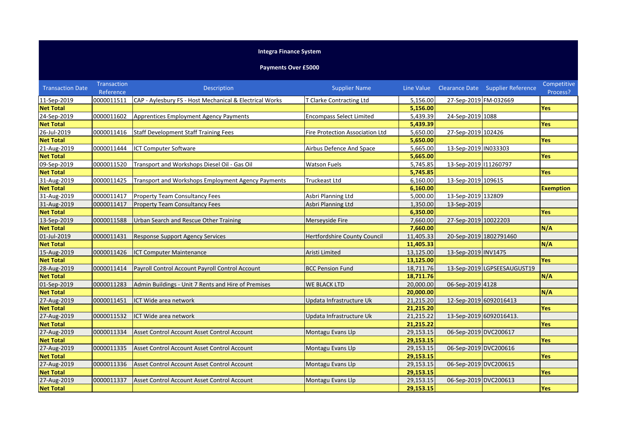## **Integra Finance System**

## **Payments Over £5000**

| <b>Transaction Date</b> | <b>Transaction</b><br>Reference | Description                                             | <b>Supplier Name</b>            |           |                       | Line Value Clearance Date Supplier Reference | Competitive<br>Process? |
|-------------------------|---------------------------------|---------------------------------------------------------|---------------------------------|-----------|-----------------------|----------------------------------------------|-------------------------|
| 11-Sep-2019             | 0000011511                      | CAP - Aylesbury FS - Host Mechanical & Electrical Works | T Clarke Contracting Ltd        | 5,156.00  | 27-Sep-2019 FM-032669 |                                              |                         |
| <b>Net Total</b>        |                                 |                                                         |                                 | 5,156.00  |                       |                                              | Yes                     |
| 24-Sep-2019             | 0000011602                      | Apprentices Employment Agency Payments                  | <b>Encompass Select Limited</b> | 5,439.39  | 24-Sep-2019 1088      |                                              |                         |
| <b>Net Total</b>        |                                 |                                                         |                                 | 5,439.39  |                       |                                              | Yes                     |
| 26-Jul-2019             | 0000011416                      | <b>Staff Development Staff Training Fees</b>            | Fire Protection Association Ltd | 5,650.00  | 27-Sep-2019 102426    |                                              |                         |
| <b>Net Total</b>        |                                 |                                                         |                                 | 5,650.00  |                       |                                              | Yes                     |
| 21-Aug-2019             | 0000011444                      | <b>ICT Computer Software</b>                            | <b>Airbus Defence And Space</b> | 5,665.00  | 13-Sep-2019 IN033303  |                                              |                         |
| <b>Net Total</b>        |                                 |                                                         |                                 | 5,665.00  |                       |                                              | Yes                     |
| 09-Sep-2019             | 0000011520                      | Transport and Workshops Diesel Oil - Gas Oil            | <b>Watson Fuels</b>             | 5,745.85  | 13-Sep-2019 11260797  |                                              |                         |
| <b>Net Total</b>        |                                 |                                                         |                                 | 5,745.85  |                       |                                              | <b>Yes</b>              |
| 31-Aug-2019             | 0000011425                      | Transport and Workshops Employment Agency Payments      | <b>Truckeast Ltd</b>            | 6,160.00  | 13-Sep-2019 109615    |                                              |                         |
| <b>Net Total</b>        |                                 |                                                         |                                 | 6,160.00  |                       |                                              | <b>Exemption</b>        |
| 31-Aug-2019             | 0000011417                      | Property Team Consultancy Fees                          | Asbri Planning Ltd              | 5,000.00  | 13-Sep-2019 132809    |                                              |                         |
| 31-Aug-2019             | 0000011417                      | <b>Property Team Consultancy Fees</b>                   | Asbri Planning Ltd              | 1,350.00  | 13-Sep-2019           |                                              |                         |
| <b>Net Total</b>        |                                 |                                                         |                                 | 6,350.00  |                       |                                              | <b>Yes</b>              |
| 13-Sep-2019             | 0000011588                      | Urban Search and Rescue Other Training                  | Merseyside Fire                 | 7,660.00  | 27-Sep-2019 10022203  |                                              |                         |
| <b>Net Total</b>        |                                 |                                                         |                                 | 7,660.00  |                       |                                              | N/A                     |
| 01-Jul-2019             | 0000011431                      | <b>Response Support Agency Services</b>                 | Hertfordshire County Council    | 11,405.33 |                       | 20-Sep-2019 1802791460                       |                         |
| <b>Net Total</b>        |                                 |                                                         |                                 | 11,405.33 |                       |                                              | N/A                     |
| 15-Aug-2019             | 0000011426                      | <b>ICT Computer Maintenance</b>                         | Aristi Limited                  | 13,125.00 | 13-Sep-2019 INV1475   |                                              |                         |
| <b>Net Total</b>        |                                 |                                                         |                                 | 13,125.00 |                       |                                              | Yes                     |
| 28-Aug-2019             | 0000011414                      | Payroll Control Account Payroll Control Account         | <b>BCC Pension Fund</b>         | 18,711.76 |                       | 13-Sep-2019 LGPSEESAUGUST19                  |                         |
| <b>Net Total</b>        |                                 |                                                         |                                 | 18,711.76 |                       |                                              | N/A                     |
| 01-Sep-2019             | 0000011283                      | Admin Buildings - Unit 7 Rents and Hire of Premises     | WE BLACK LTD                    | 20,000.00 | 06-Sep-2019 4128      |                                              |                         |
| <b>Net Total</b>        |                                 |                                                         |                                 | 20,000.00 |                       |                                              | N/A                     |
| 27-Aug-2019             | 0000011451                      | ICT Wide area network                                   | Updata Infrastructure Uk        | 21,215.20 |                       | 12-Sep-2019 6092016413                       |                         |
| <b>Net Total</b>        |                                 |                                                         |                                 | 21,215.20 |                       |                                              | Yes                     |
| 27-Aug-2019             | 0000011532                      | ICT Wide area network                                   | Updata Infrastructure Uk        | 21,215.22 |                       | 13-Sep-2019 6092016413.                      |                         |
| <b>Net Total</b>        |                                 |                                                         |                                 | 21,215.22 |                       |                                              | Yes                     |
| 27-Aug-2019             | 0000011334                      | Asset Control Account Asset Control Account             | Montagu Evans Llp               | 29,153.15 | 06-Sep-2019 DVC200617 |                                              |                         |
| <b>Net Total</b>        |                                 |                                                         |                                 | 29,153.15 |                       |                                              | Yes                     |
| 27-Aug-2019             | 0000011335                      | Asset Control Account Asset Control Account             | Montagu Evans Llp               | 29,153.15 | 06-Sep-2019 DVC200616 |                                              |                         |
| <b>Net Total</b>        |                                 |                                                         |                                 | 29,153.15 |                       |                                              | <b>Yes</b>              |
| 27-Aug-2019             | 0000011336                      | Asset Control Account Asset Control Account             | Montagu Evans Llp               | 29,153.15 | 06-Sep-2019 DVC200615 |                                              |                         |
| <b>Net Total</b>        |                                 |                                                         |                                 | 29,153.15 |                       |                                              | <b>Yes</b>              |
| 27-Aug-2019             | 0000011337                      | Asset Control Account Asset Control Account             | Montagu Evans Llp               | 29,153.15 | 06-Sep-2019 DVC200613 |                                              |                         |
| <b>Net Total</b>        |                                 |                                                         |                                 | 29,153.15 |                       |                                              | Yes                     |